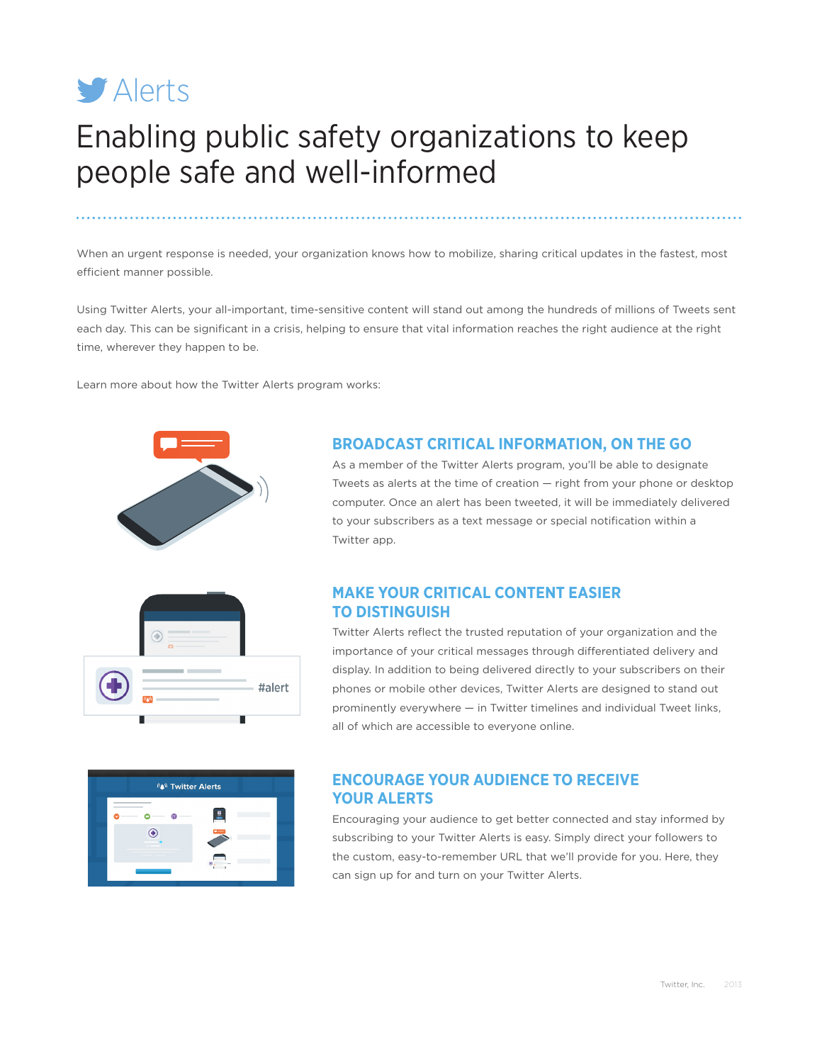

# Enabling public safety organizations to keep people safe and well-informed

When an urgent response is needed, your organization knows how to mobilize, sharing critical updates in the fastest, most efficient manner possible.

Using Twitter Alerts, your all-important, time-sensitive content will stand out among the hundreds of millions of Tweets sent each day. This can be significant in a crisis, helping to ensure that vital information reaches the right audience at the right time, wherever they happen to be.

Learn more about how the Twitter Alerts program works:



## **BROADCAST CRITICAL INFORMATION, ON THE GO**

As a member of the Twitter Alerts program, you'll be able to designate Tweets as alerts at the time of creation — right from your phone or desktop computer. Once an alert has been tweeted, it will be immediately delivered to your subscribers as a text message or special notification within a Twitter app.



## **MAKE YOUR CRITICAL CONTENT EASIER TO DISTINGUISH**

Twitter Alerts reflect the trusted reputation of your organization and the importance of your critical messages through differentiated delivery and display. In addition to being delivered directly to your subscribers on their phones or mobile other devices, Twitter Alerts are designed to stand out prominently everywhere — in Twitter timelines and individual Tweet links, all of which are accessible to everyone online.



# **ENCOURAGE YOUR AUDIENCE TO RECEIVE YOUR ALERTS**

Encouraging your audience to get better connected and stay informed by subscribing to your Twitter Alerts is easy. Simply direct your followers to the custom, easy-to-remember URL that we'll provide for you. Here, they can sign up for and turn on your Twitter Alerts.